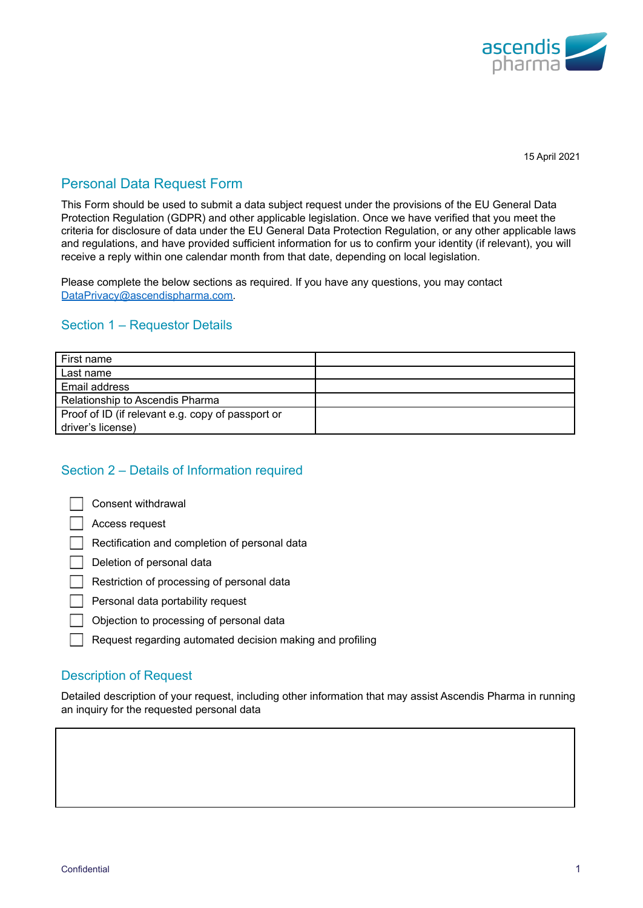

15 April 2021

# Personal Data Request Form

This Form should be used to submit a data subject request under the provisions of the EU General Data Protection Regulation (GDPR) and other applicable legislation. Once we have verified that you meet the criteria for disclosure of data under the EU General Data Protection Regulation, or any other applicable laws and regulations, and have provided sufficient information for us to confirm your identity (if relevant), you will receive a reply within one calendar month from that date, depending on local legislation.

Please complete the below sections as required. If you have any questions, you may contact [DataPrivacy@ascendispharma.com.](mailto:DataPrivacy@ascendispharma.com)

### Section 1 – Requestor Details

| First name                                        |  |
|---------------------------------------------------|--|
| Last name                                         |  |
| Email address                                     |  |
| Relationship to Ascendis Pharma                   |  |
| Proof of ID (if relevant e.g. copy of passport or |  |
| driver's license)                                 |  |

## Section 2 – Details of Information required

|  |  | Consent withdrawal |
|--|--|--------------------|
|--|--|--------------------|

Access request

Rectification and completion of personal data

Deletion of personal data

Restriction of processing of personal data

Personal data portability request

Objection to processing of personal data

Request regarding automated decision making and profiling

### Description of Request

Detailed description of your request, including other information that may assist Ascendis Pharma in running an inquiry for the requested personal data